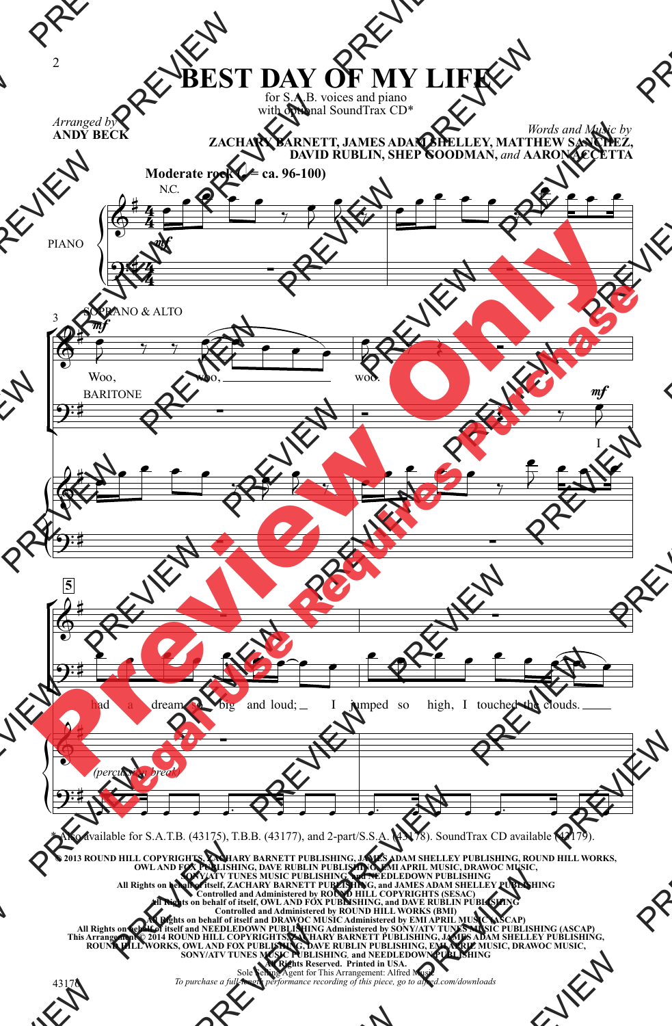

**BEST DAY OF MY LIFE**

\* Also available for S.A.T.B. (43175), T.B.B. (43177), and 2-part/S.S.A. (43178). SoundTrax CD available (43179).

© 2013 ROUND HILL COPYRIGHTS, ZACHARY BARNETT PUBLISHING, JAMES ADAM SHELLEY PUBLISHING, ROUND HILL WORKS,<br>OWL AND FOX PUBLISHING, DAVE RUBLIN PUBLISHING, EMI APRIL MUSIC, DRAWOC MUSIC,<br>SONY/ATV TUNES MUSIC PUBLISHING, and All Rights on behalf of itself, OWL AND FOX PUBLISHING, and DAVE RUBLIN PUBLISHING<br>Controlled and Administered by ROUND HILL WORKS (BMI)<br>All Rights on behalf of itself and Neaming the deal of the MUSIC Administered by EMI

**All Rights Reserved. Printed in USA.**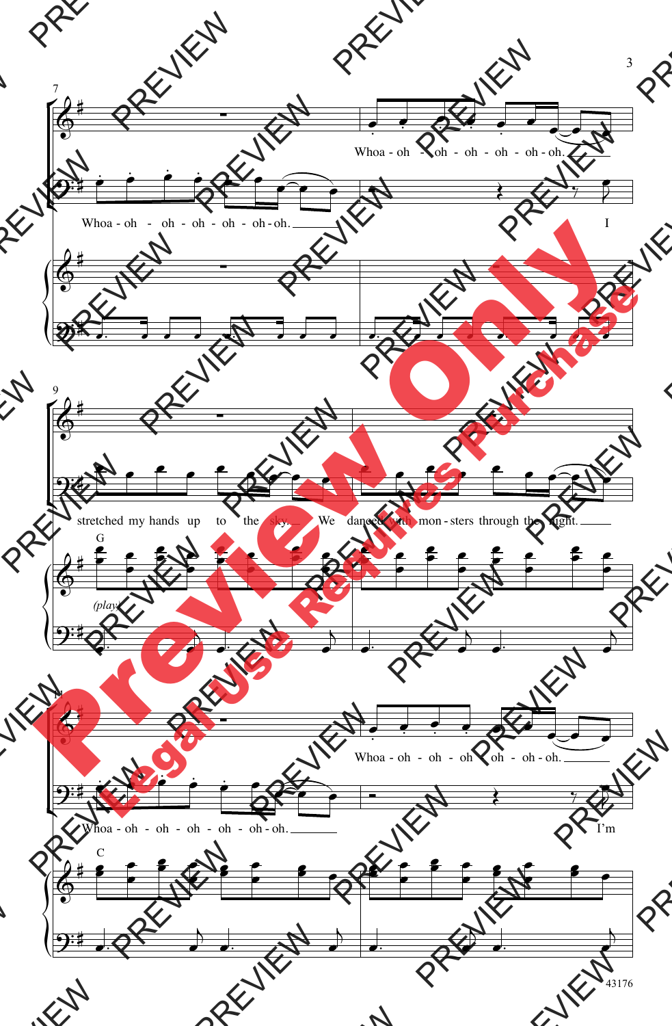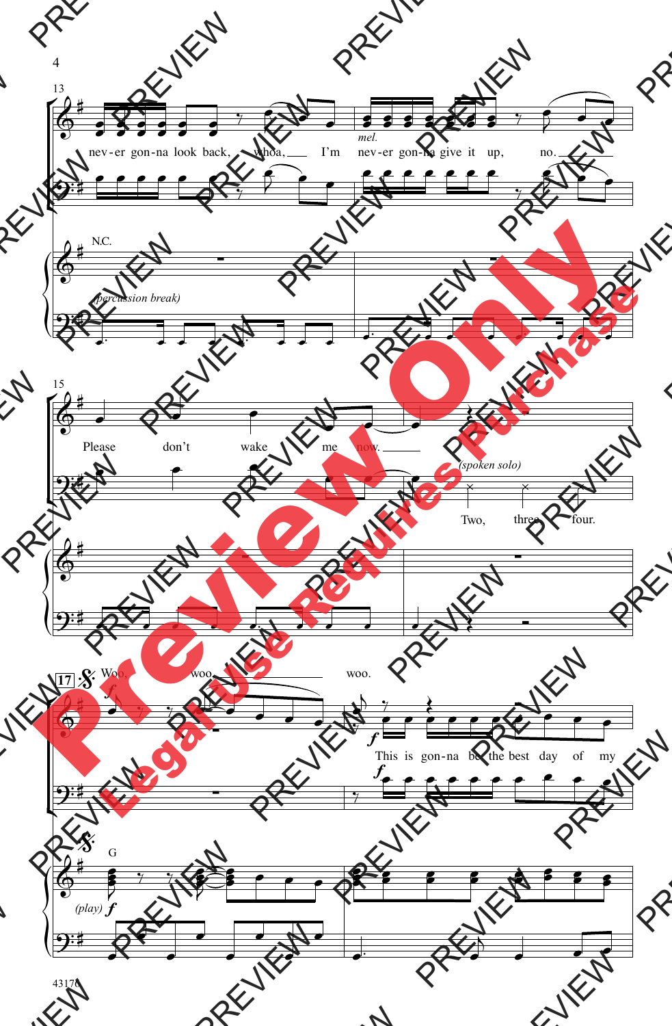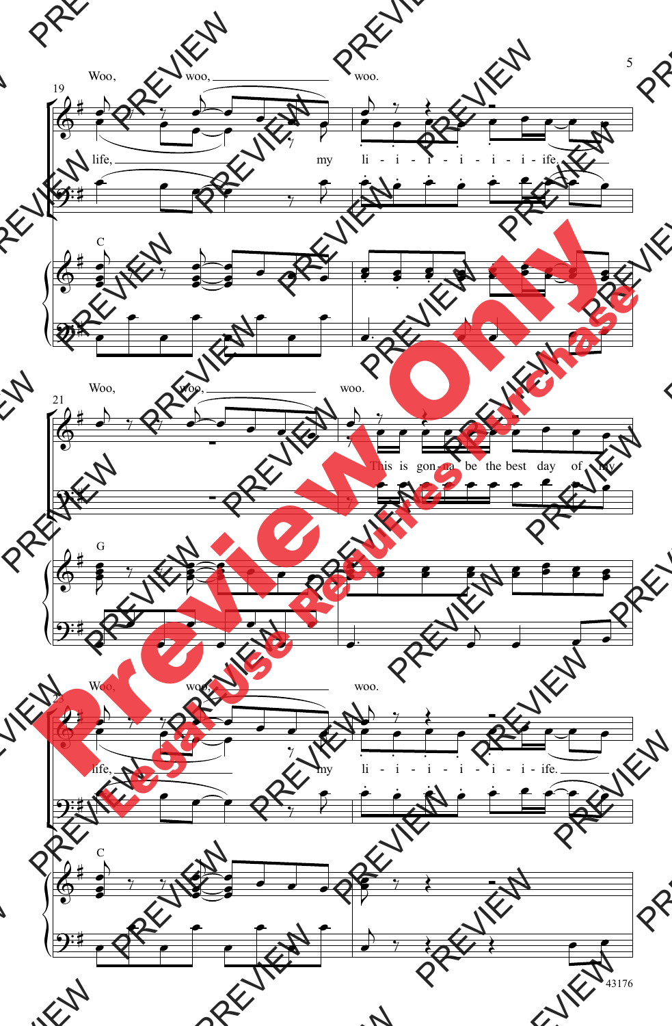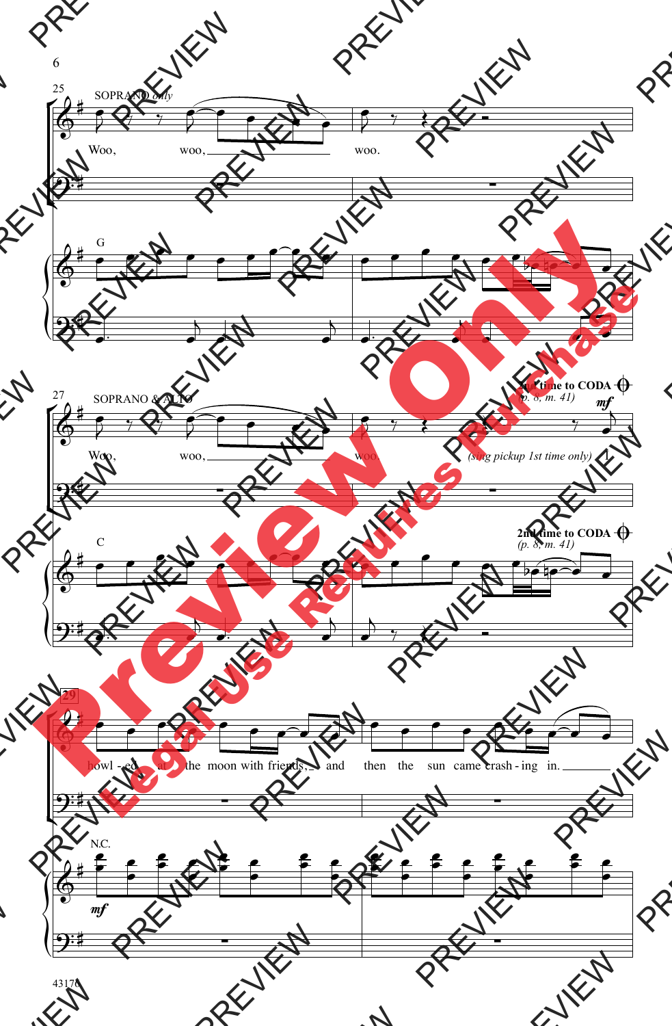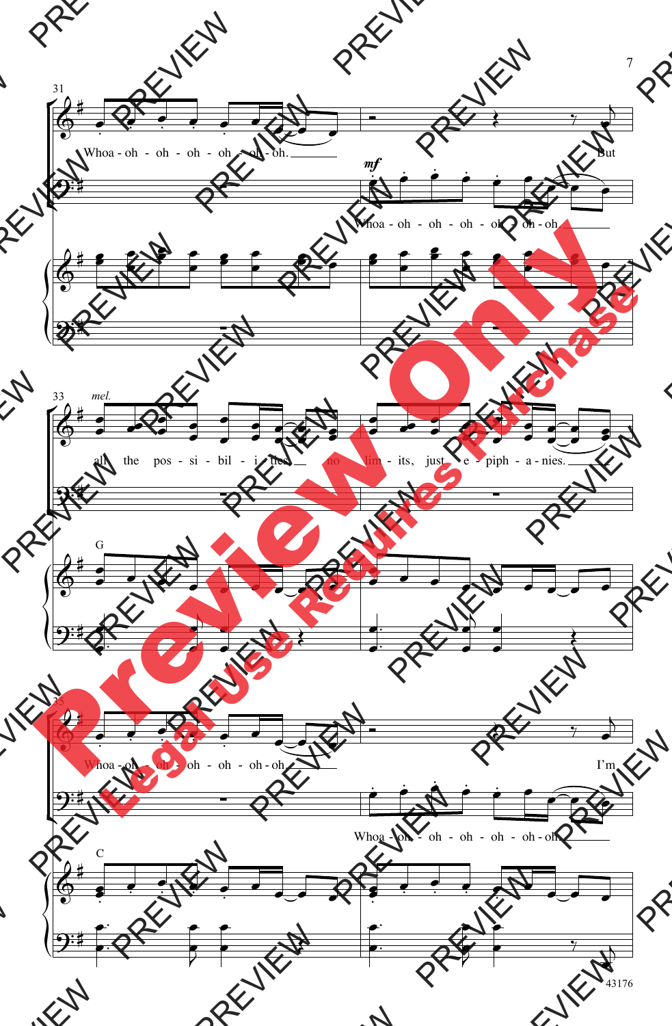

43176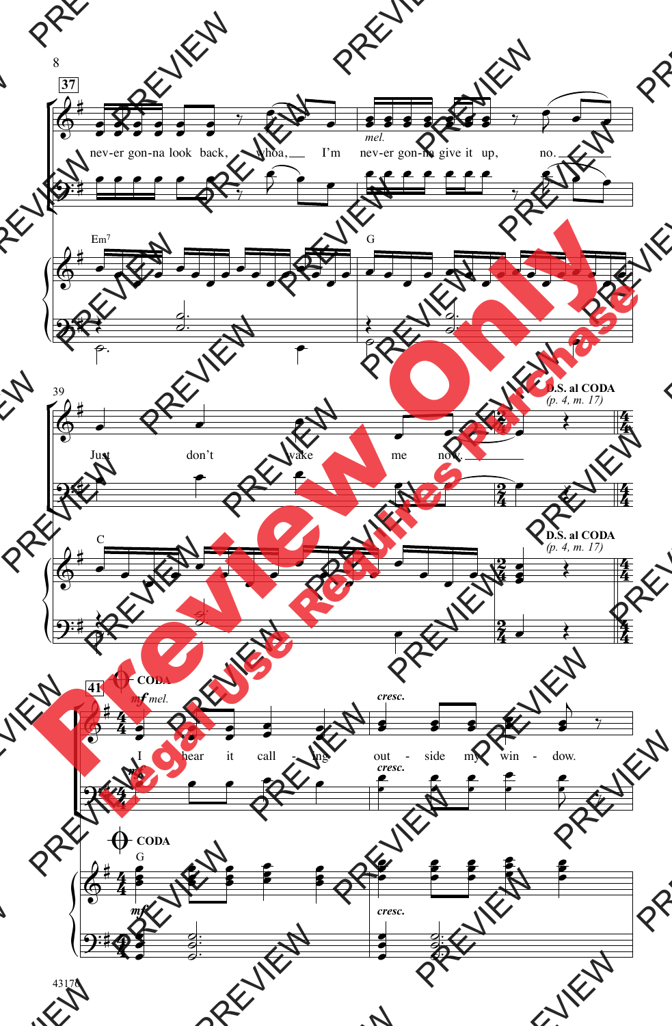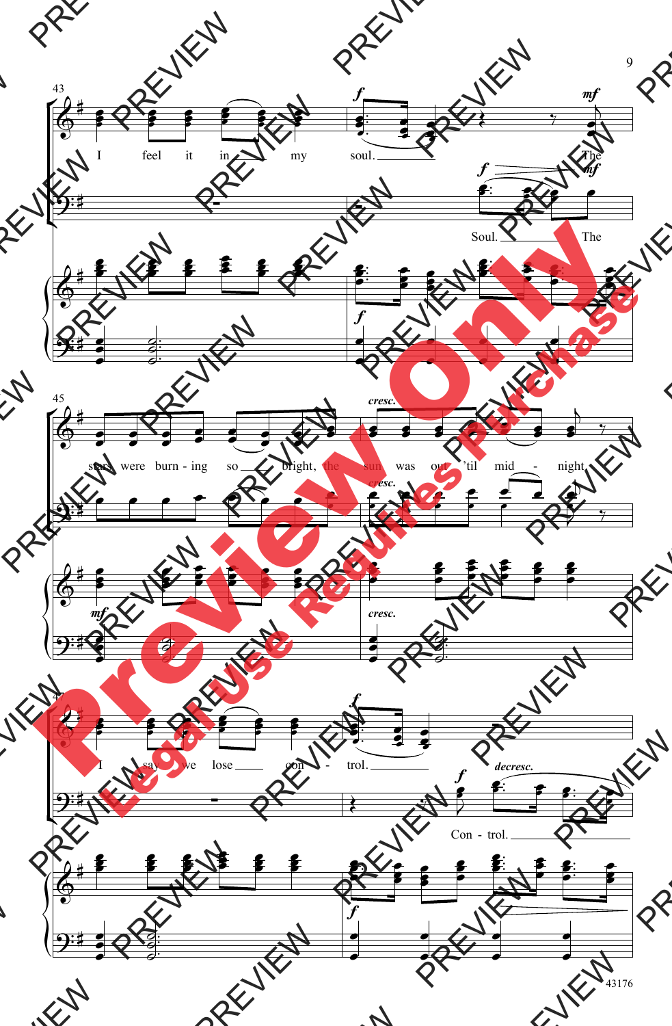

43176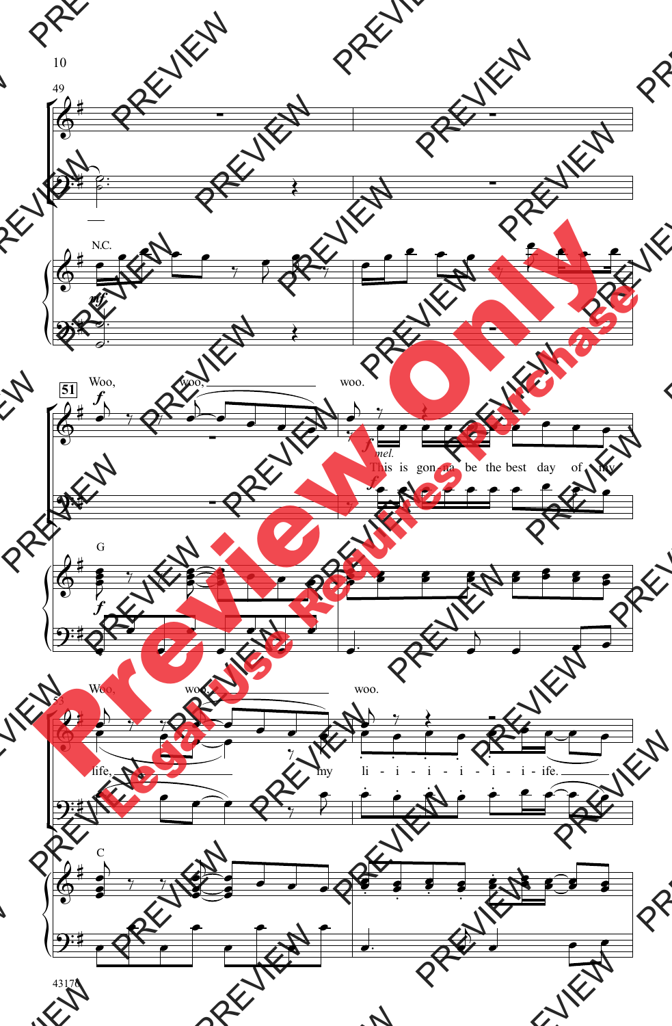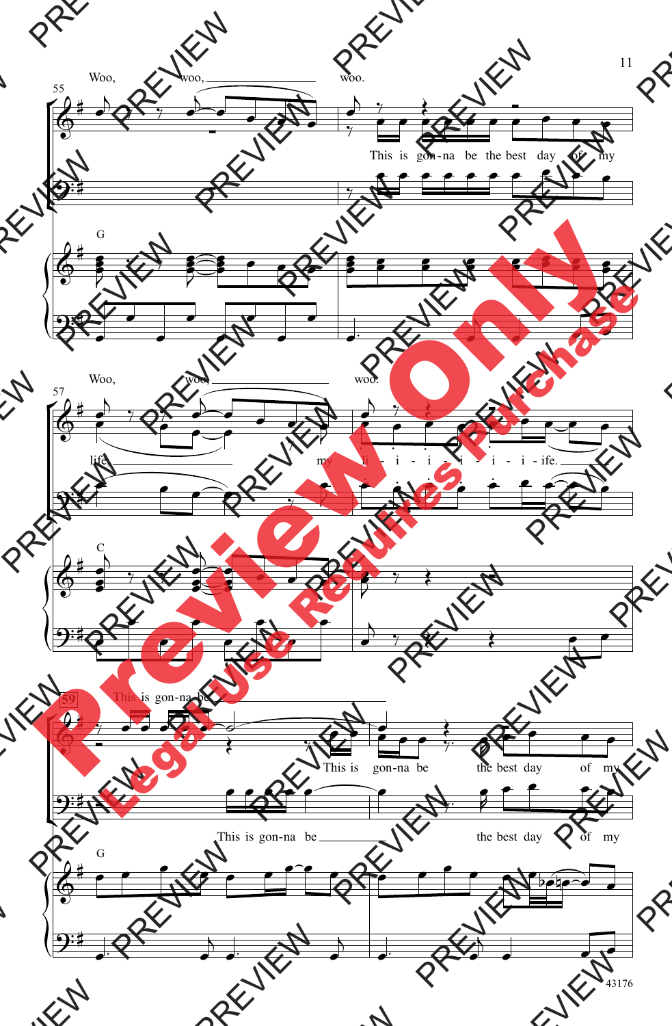